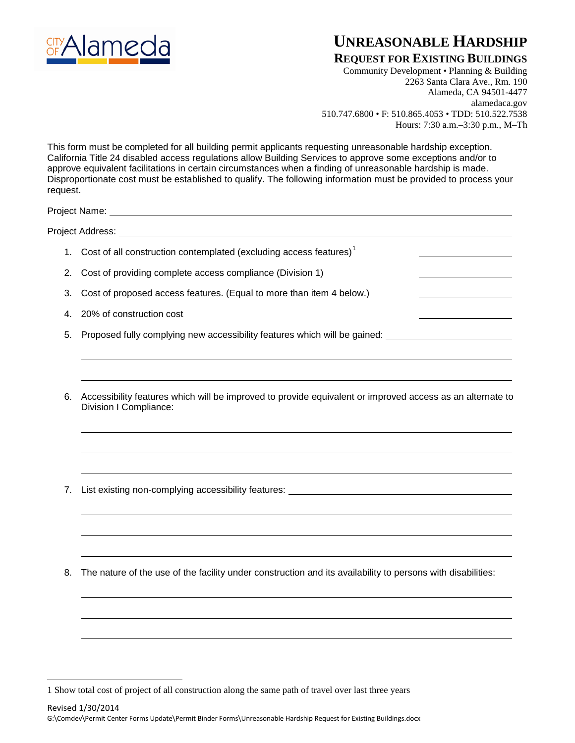

## **UNREASONABLE HARDSHIP**

## **REQUEST FOR EXISTING BUILDINGS**

Community Development • Planning & Building 2263 Santa Clara Ave., Rm. 190 Alameda, CA 94501-4477 alamedaca.gov 510.747.6800 • F: 510.865.4053 • TDD: 510.522.7538 Hours: 7:30 a.m.–3:30 p.m., M–Th

This form must be completed for all building permit applicants requesting unreasonable hardship exception. California Title 24 disabled access regulations allow Building Services to approve some exceptions and/or to approve equivalent facilitations in certain circumstances when a finding of unreasonable hardship is made. Disproportionate cost must be established to qualify. The following information must be provided to process your request.

Project Name:

Project Address:

 $\overline{a}$ 

- [1](#page-0-0). Cost of all construction contemplated (excluding access features)<sup>1</sup>
- 2. Cost of providing complete access compliance (Division 1)
- 3. Cost of proposed access features. (Equal to more than item 4 below.)
- 4. 20% of construction cost
- 5. Proposed fully complying new accessibility features which will be gained:
- 6. Accessibility features which will be improved to provide equivalent or improved access as an alternate to Division I Compliance:
- 7. List existing non-complying accessibility features:
- 8. The nature of the use of the facility under construction and its availability to persons with disabilities:

<span id="page-0-0"></span><sup>1</sup> Show total cost of project of all construction along the same path of travel over last three years